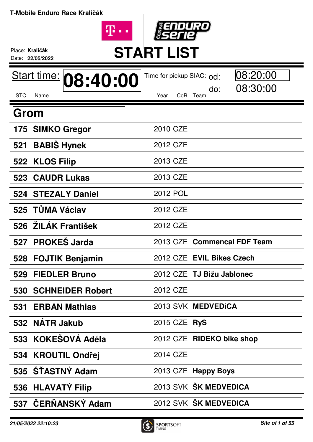## **T-Mobile Enduro Race Kraličák**





## Date: **22/05/2022** Place: **Kraličák START LIST**

| Start time: 08:40:00           | 08:20:00<br>Time for pickup SIAC: od: |
|--------------------------------|---------------------------------------|
| <b>STC</b><br>Name             | 08:30:00<br>do:<br>CoR Team<br>Year   |
| Grom                           |                                       |
| <b>SIMKO Gregor</b><br>175     | 2010 CZE                              |
| <b>BABIS Hynek</b><br>521      | 2012 CZE                              |
| 522 KLOS Filip                 | 2013 CZE                              |
| <b>CAUDR Lukas</b><br>523      | 2013 CZE                              |
| 524 STEZALY Daniel             | 2012 POL                              |
| 525 TŮMA Václav                | 2012 CZE                              |
| 526 ŽILÁK František            | 2012 CZE                              |
| <b>PROKEŠ Jarda</b><br>527     | 2013 CZE Commencal FDF Team           |
| <b>FOJTIK Benjamin</b><br>528  | 2012 CZE EVIL Bikes Czech             |
| <b>FIEDLER Bruno</b><br>529    | 2012 CZE TJ Bižu Jablonec             |
| <b>SCHNEIDER Robert</b><br>530 | 2012 CZE                              |
| <b>ERBAN Mathias</b><br>531    | 2013 SVK MEDVEDICA                    |
| 532 NATR Jakub                 | 2015 CZE RyS                          |
| 533 KOKEŠOVÁ Adéla             | 2012 CZE RIDEKO bike shop             |
| <b>KROUTIL Ondřej</b><br>534   | 2014 CZE                              |
| 535 STASTNÝ Adam               | 2013 CZE Happy Boys                   |
| <b>HLAVATÝ Filip</b><br>536    | 2013 SVK ŠK MEDVEDICA                 |
| ČERŇANSKÝ Adam<br>537          | 2012 SVK ŠK MEDVEDICA                 |

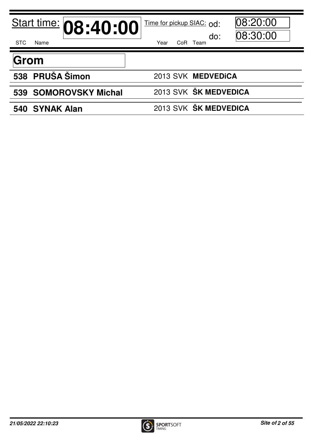| Start time: 08:40:00<br><b>STC</b><br>Name | 08:20:00<br>Time for pickup SIAC: Od:<br>08:30:00<br>do:<br>Year<br>CoR Team |
|--------------------------------------------|------------------------------------------------------------------------------|
| Grom                                       |                                                                              |
| PRUŠA Šimon<br>538                         | 2013 SVK MEDVEDICA                                                           |
| <b>SOMOROVSKY Michal</b><br>539            | 2013 SVK ŠK MEDVEDICA                                                        |
| <b>SYNAK Alan</b><br>540                   | 2013 SVK ŠK MEDVEDICA                                                        |

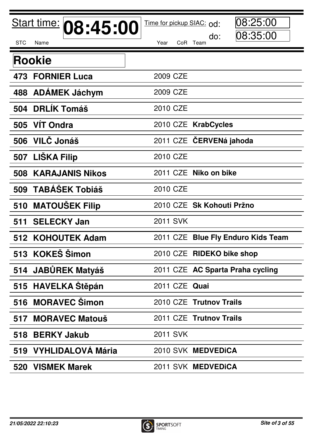|            | Start time: 08:45:00    | $\overline{0}8:25:00$<br>Time for pickup SIAC: od: |
|------------|-------------------------|----------------------------------------------------|
| <b>STC</b> | Name                    | 08:35:00<br>do:<br>Year<br>CoR Team                |
|            | <b>Rookie</b>           |                                                    |
|            | <b>473 FORNIER Luca</b> | 2009 CZE                                           |
|            | 488 ADAMEK Jáchym       | 2009 CZE                                           |
| 504        | <b>DRLÍK Tomáš</b>      | 2010 CZE                                           |
| 505        | <b>VIT Ondra</b>        | 2010 CZE KrabCycles                                |
| 506        | VILČ Jonáš              | 2011 CZE ČERVENá jahoda                            |
| 507        | <b>LISKA Filip</b>      | 2010 CZE                                           |
| 508        | <b>KARAJANIS Nikos</b>  | 2011 CZE Niko on bike                              |
|            | 509 TABÁŠEK Tobiáš      | 2010 CZE                                           |
| 510        | <b>MATOUŠEK Filip</b>   | 2010 CZE Sk Kohouti Pržno                          |
| 511        | <b>SELECKY Jan</b>      | <b>2011 SVK</b>                                    |
|            | 512 KOHOUTEK Adam       | 2011 CZE Blue Fly Enduro Kids Team                 |
|            | 513 KOKEŠ Šimon         | 2010 CZE RIDEKO bike shop                          |
|            | 514 JABŮREK Matyáš      | 2011 CZE AC Sparta Praha cycling                   |
|            | 515 HAVELKA Stěpán      | 2011 CZE Quai                                      |
| 516        | <b>MORAVEC Simon</b>    | 2010 CZE Trutnov Trails                            |
| 517        | <b>MORAVEC Matouš</b>   | 2011 CZE Trutnov Trails                            |
| 518        | <b>BERKY Jakub</b>      | 2011 SVK                                           |
|            | 519 VYHLIDALOVÁ Mária   | 2010 SVK MEDVEDICA                                 |
|            | 520 VISMEK Marek        | 2011 SVK MEDVEDICA                                 |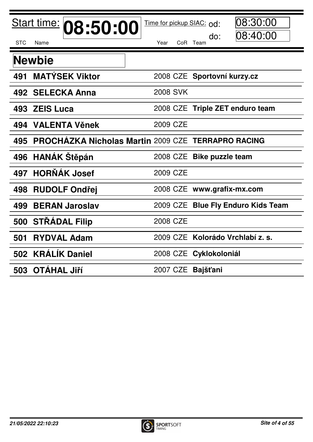|            |                 | Start time: 08:50:00                                      |                 | Time for pickup SIAC: od:   | 08:30:00                           |
|------------|-----------------|-----------------------------------------------------------|-----------------|-----------------------------|------------------------------------|
| <b>STC</b> | Name            |                                                           | Year            | do:<br>CoR Team             | 08:40:00                           |
|            | <b>Newbie</b>   |                                                           |                 |                             |                                    |
| 491        |                 | <b>MATÝSEK Viktor</b>                                     |                 | 2008 CZE Sportovní kurzy.cz |                                    |
|            |                 | 492 SELECKA Anna                                          | <b>2008 SVK</b> |                             |                                    |
|            | 493 ZEIS Luca   |                                                           |                 |                             | 2008 CZE Triple ZET enduro team    |
| 494        |                 | <b>VALENTA Věnek</b>                                      | 2009 CZE        |                             |                                    |
| 495        |                 | <b>PROCHÁZKA Nicholas Martin 2009 CZE TERRAPRO RACING</b> |                 |                             |                                    |
|            |                 | 496 HANÁK Stěpán                                          |                 | 2008 CZE Bike puzzle team   |                                    |
| 497        |                 | <b>HORŇÁK Josef</b>                                       | 2009 CZE        |                             |                                    |
| 498        |                 | <b>RUDOLF Ondřej</b>                                      |                 | 2008 CZE www.grafix-mx.com  |                                    |
| 499        |                 | <b>BERAN Jaroslav</b>                                     |                 |                             | 2009 CZE Blue Fly Enduro Kids Team |
| 500        |                 | <b>STRADAL Filip</b>                                      | 2008 CZE        |                             |                                    |
| 501        |                 | <b>RYDVAL Adam</b>                                        |                 |                             | 2009 CZE Kolorádo Vrchlabí z. s.   |
|            |                 | 502 KRÁLÍK Daniel                                         |                 | 2008 CZE Cyklokoloniál      |                                    |
|            | 503 OTÁHAL Jiří |                                                           |                 | 2007 CZE Bajšťani           |                                    |

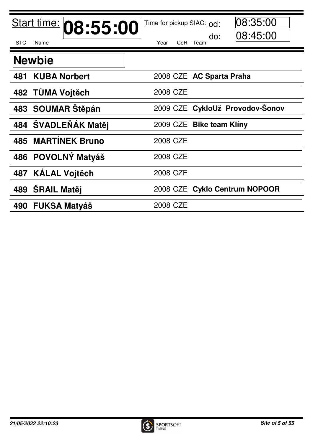| Start time: 08:55:00         | 08:35:00<br>Time for pickup SIAC: od: |
|------------------------------|---------------------------------------|
| <b>STC</b><br>Name           | 08:45:00<br>do:<br>CoR Team<br>Year   |
| <b>Newbie</b>                |                                       |
| <b>KUBA Norbert</b><br>481   | 2008 CZE AC Sparta Praha              |
| 482 TŮMA Vojtěch             | 2008 CZE                              |
| 483 SOUMAR Stěpán            | 2009 CZE CykloUž Provodov-Šonov       |
| 484 ŠVADLEŇÁK Matěj          | 2009 CZE Bike team Klíny              |
| <b>MARTINEK Bruno</b><br>485 | 2008 CZE                              |
| 486 POVOLNÝ Matyáš           | 2008 CZE                              |
| 487 KÁLAL Vojtěch            | 2008 CZE                              |
| <b>ŠRAIL Matěj</b><br>489    | 2008 CZE Cyklo Centrum NOPOOR         |
| <b>FUKSA Matyáš</b><br>490   | 2008 CZE                              |

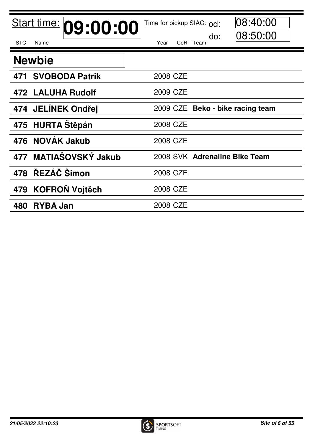| Start time: 09:00:00         | 08:40:00<br>Time for pickup SIAC: od: |
|------------------------------|---------------------------------------|
| <b>STC</b><br>Name           | 08:50:00<br>do:<br>Year<br>CoR Team   |
| <b>Newbie</b>                |                                       |
| <b>SVOBODA Patrik</b><br>471 | 2008 CZE                              |
| 472 LALUHA Rudolf            | 2009 CZE                              |
| 474 JELÍNEK Ondřej           | 2009 CZE Beko - bike racing team      |
| 475 HURTA Stěpán             | 2008 CZE                              |
| 476 NOVÁK Jakub              | 2008 CZE                              |
| 477 MATIAŠOVSKÝ Jakub        | 2008 SVK Adrenaline Bike Team         |
| 478 ŘEZÁČ Šimon              | 2008 CZE                              |
| 479 KOFROŇ Vojtěch           | 2008 CZE                              |
| <b>RYBA Jan</b><br>480       | 2008 CZE                              |

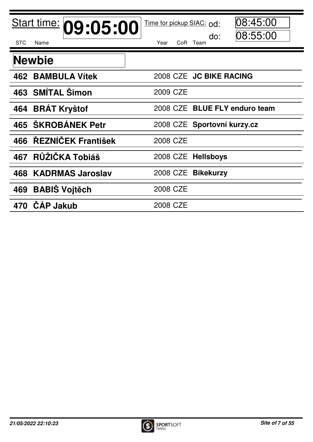| Start time: 09:05:00           | 08:45:00<br>Time for pickup SIAC: od: |
|--------------------------------|---------------------------------------|
| <b>STC</b><br>Name             | 08:55:00<br>do:<br>CoR Team<br>Year   |
| <b>Newbie</b>                  |                                       |
| <b>BAMBULA Vítek</b><br>462    | 2008 CZE JC BIKE RACING               |
| 463 SMÍTAL Šimon               | 2009 CZE                              |
| <b>BRÁT Kryštof</b><br>464     | 2008 CZE BLUE FLY enduro team         |
| 465 ŠKROBÁNEK Petr             | 2008 CZE Sportovní kurzy.cz           |
| 466 ŘEZNÍČEK František         | 2008 CZE                              |
| RŮŽIČKA Tobiáš<br>467          | 2008 CZE Hellsboys                    |
| <b>KADRMAS Jaroslav</b><br>468 | 2008 CZE<br><b>Bikekurzy</b>          |
| <b>BABIŠ Vojtěch</b><br>469    | 2008 CZE                              |
| <b>CAP Jakub</b><br>470        | 2008 CZE                              |

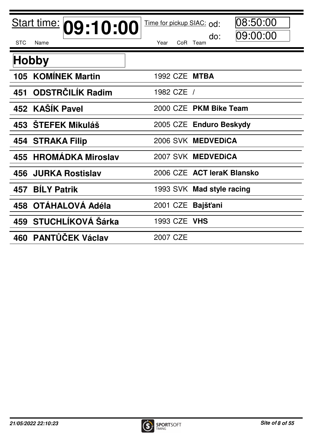| Start time: 09:10:00           | 08:50:00<br>Time for pickup SIAC: od: |
|--------------------------------|---------------------------------------|
| <b>STC</b><br>Name             | 09:00:00<br>do:<br>CoR Team<br>Year   |
| <b>Hobby</b>                   |                                       |
| <b>KOMÍNEK Martin</b><br>105   | 1992 CZE MTBA                         |
| <b>ODSTRČILÍK Radim</b><br>451 | 1982 CZE /                            |
| <b>KAŠÍK Pavel</b><br>452      | 2000 CZE PKM Bike Team                |
| 453 ŠTEFEK Mikuláš             | 2005 CZE Enduro Beskydy               |
| <b>454 STRAKA Filip</b>        | 2006 SVK MEDVEDICA                    |
| 455 HROMÁDKA Miroslav          | 2007 SVK MEDVEDICA                    |
| <b>JURKA Rostislav</b><br>456  | 2006 CZE ACT leraK Blansko            |
| <b>BILY Patrik</b><br>457      | 1993 SVK Mad style racing             |
| 458 OTÁHALOVÁ Adéla            | 2001 CZE Bajšťani                     |
| 459 STUCHLÍKOVÁ Šárka          | 1993 CZE VHS                          |
| PANTŮČEK Václav<br>460         | 2007 CZE                              |

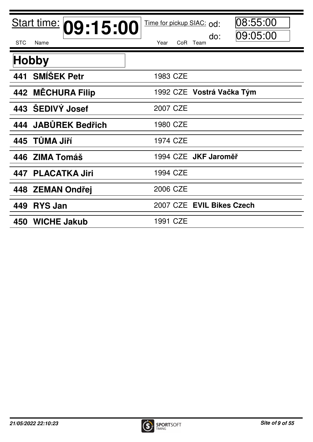| Start time: 09:15:00        | 08:55:00<br>Time for pickup SIAC: od: |
|-----------------------------|---------------------------------------|
| <b>STC</b><br>Name          | 09:05:00<br>do:<br>Year<br>CoR Team   |
| <b>Hobby</b>                |                                       |
| <b>SMÍŠEK Petr</b><br>441   | 1983 CZE                              |
| 442 MECHURA Filip           | 1992 CZE Vostrá Vačka Tým             |
| 443 ŠEDIVÝ Josef            | 2007 CZE                              |
| 444 JABŮREK Bedřich         | 1980 CZE                              |
| 445 TŮMA Jiří               | 1974 CZE                              |
| – ZIMA Tomáš<br>446         | 1994 CZE JKF Jaroměř                  |
| <b>PLACATKA Jiri</b><br>447 | 1994 CZE                              |
| 448 ZEMAN Ondřej            | 2006 CZE                              |
| <b>RYS Jan</b><br>449       | 2007 CZE EVIL Bikes Czech             |
| 450 WICHE Jakub             | 1991 CZE                              |

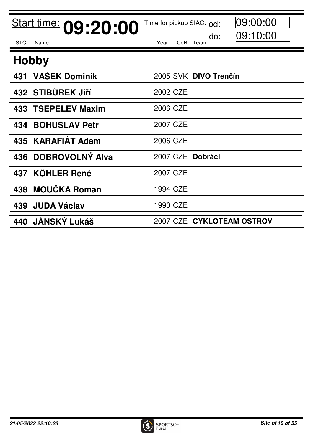| Start time: 09:20:00        | 09:00:00<br>Time for pickup SIAC: od:<br>09:10:00<br>do: |
|-----------------------------|----------------------------------------------------------|
| <b>STC</b><br>Name          | Year<br>CoR Team                                         |
| <b>Hobby</b>                |                                                          |
| <b>VAŠEK Dominik</b><br>431 | 2005 SVK DIVO Trenčín                                    |
| 432 STIBUREK JIří           | 2002 CZE                                                 |
| 433 TSEPELEV Maxim          | 2006 CZE                                                 |
| <b>BOHUSLAV Petr</b><br>434 | 2007 CZE                                                 |
| 435 KARAFIAT Adam           | 2006 CZE                                                 |
| 436 DOBROVOLNÝ Alva         | 2007 CZE Dobráci                                         |
| 437 KÖHLER René             | 2007 CZE                                                 |
| 438 MOUČKA Roman            | 1994 CZE                                                 |
| 439<br><b>JUDA Václav</b>   | 1990 CZE                                                 |
| 440 JÁNSKÝ Lukáš            | 2007 CZE CYKLOTEAM OSTROV                                |

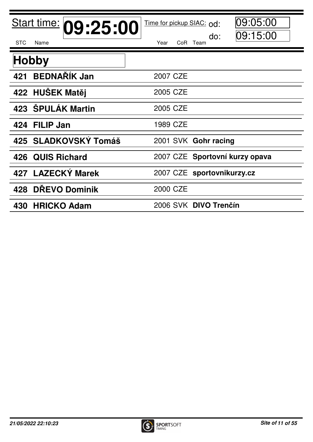| Start time: 09:25:00     | 09:05:00<br>Time for pickup SIAC: od: |
|--------------------------|---------------------------------------|
| <b>STC</b><br>Name       | 09:15:00<br>do:<br>CoR Team<br>Year   |
| <b>Hobby</b>             |                                       |
| 421 BEDNAŘÍK Jan         | 2007 CZE                              |
| 422 HUŠEK Matěj          | 2005 CZE                              |
| 423 SPULÁK Martin        | 2005 CZE                              |
| <b>FILIP Jan</b><br>424  | 1989 CZE                              |
| 425 SLADKOVSKÝ Tomáš     | 2001 SVK Gohr racing                  |
| 426 QUIS Richard         | 2007 CZE Sportovní kurzy opava        |
| 427 LAZECKÝ Marek        | 2007 CZE sportovnikurzy.cz            |
| <b>428 DREVO Dominik</b> | 2000 CZE                              |
| 430 HRICKO Adam          | 2006 SVK DIVO Trenčín                 |

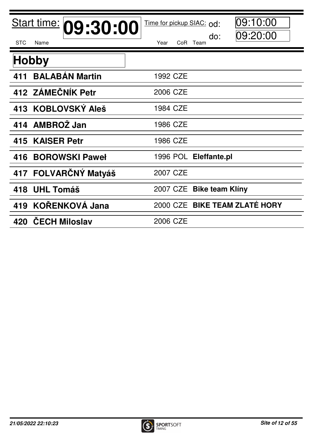| Start time: 09:30:00<br><b>STC</b><br>Name | 09:10:00<br>Time for pickup SIAC: od:<br>09:20:00<br>do:<br>Year<br>CoR Team |
|--------------------------------------------|------------------------------------------------------------------------------|
| <b>Hobby</b>                               |                                                                              |
| <b>BALABÁN Martin</b><br>411               | 1992 CZE                                                                     |
| 412 ZÁMEČNÍK Petr                          | 2006 CZE                                                                     |
| 413 KOBLOVSKÝ Aleš                         | 1984 CZE                                                                     |
| 414 AMBROŽ Jan                             | 1986 CZE                                                                     |
| <b>KAISER Petr</b><br>415                  | 1986 CZE                                                                     |
| <b>BOROWSKI Paweł</b><br>416               | 1996 POL Eleffante.pl                                                        |
| 417 FOLVARČNÝ Matyáš                       | 2007 CZE                                                                     |
| 418 UHL Tomáš                              | 2007 CZE Bike team Klíny                                                     |
| <b>KOŘENKOVÁ Jana</b><br>419               | 2000 CZE BIKE TEAM ZLATÉ HORY                                                |
| <b>ČECH Miloslav</b><br>420                | 2006 CZE                                                                     |

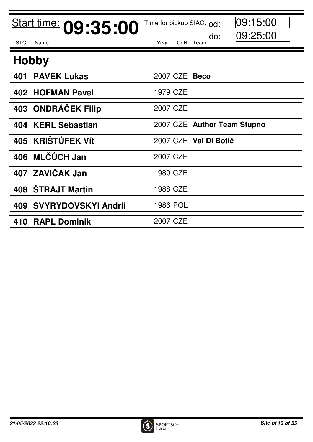|                 |      | Start time: 09:35:00       |                 | Time for pickup SIAC: od:<br>do: | 09:15:00<br> 09:25:00 |
|-----------------|------|----------------------------|-----------------|----------------------------------|-----------------------|
| <b>STC</b>      | Name |                            | Year            | CoR Team                         |                       |
| <b>Hobby</b>    |      |                            |                 |                                  |                       |
| 401             |      | <b>PAVEK Lukas</b>         |                 | 2007 CZE Beco                    |                       |
|                 |      | <b>402 HOFMAN Pavel</b>    | 1979 CZE        |                                  |                       |
|                 |      | <b>403 ONDRACEK Filip</b>  | 2007 CZE        |                                  |                       |
| 404             |      | <b>KERL Sebastian</b>      |                 | 2007 CZE Author Team Stupno      |                       |
|                 |      | 405 KRIŠTŮFEK Vít          |                 | 2007 CZE Val Di Botič            |                       |
| 406             |      | <b>MLČŮCH Jan</b>          | 2007 CZE        |                                  |                       |
| 407 ZAVIČÁK Jan |      |                            | 1980 CZE        |                                  |                       |
| 408             |      | <b>STRAJT Martin</b>       | 1988 CZE        |                                  |                       |
| 409             |      | <b>SVYRYDOVSKYI Andrii</b> | <b>1986 POL</b> |                                  |                       |
|                 |      | <b>410 RAPL Dominik</b>    | 2007 CZE        |                                  |                       |

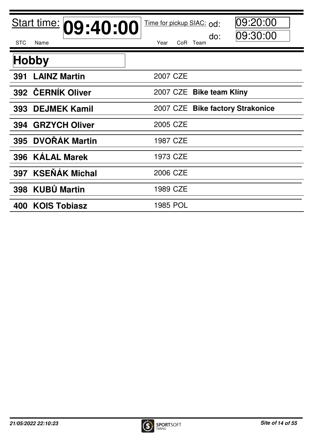| Start time: 09:40:00        | 09:20:00<br>Time for pickup SIAC: od: |
|-----------------------------|---------------------------------------|
| <b>STC</b><br>Name          | 09:30:00<br>do:<br>CoR Team<br>Year   |
| <b>Hobby</b>                |                                       |
| <b>LAINZ Martin</b><br>391  | 2007 CZE                              |
| 392 ČERNÍK Oliver           | 2007 CZE Bike team Klíny              |
| <b>DEJMEK Kamil</b><br>393  | 2007 CZE Bike factory Strakonice      |
| <b>GRZYCH Oliver</b><br>394 | 2005 CZE                              |
| <b>DVOŘÁK Martin</b><br>395 | 1987 CZE                              |
| 396 KALAL Marek             | 1973 CZE                              |
| 397 KSEŇÁK Michal           | 2006 CZE                              |
| 398 KUBŮ Martin             | 1989 CZE                              |
| 400 KOIS Tobiasz            | 1985 POL                              |

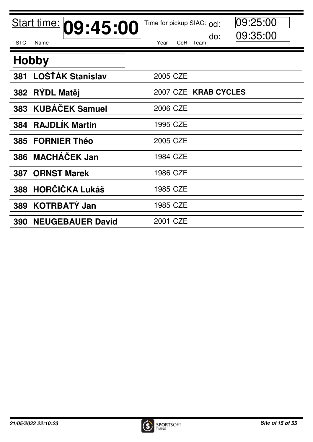| <b>STC</b><br>Name           | Start time: 09:45:00    | Time for pickup SIAC: od:<br>Year | do:<br>CoR Team      | 09:25:00<br>09:35:00 |
|------------------------------|-------------------------|-----------------------------------|----------------------|----------------------|
| <b>Hobby</b>                 |                         |                                   |                      |                      |
| 381                          | LOŠŤÁK Stanislav        | 2005 CZE                          |                      |                      |
| 382 RÝDL Matěj               |                         |                                   | 2007 CZE KRAB CYCLES |                      |
| 383                          | <b>KUBACEK Samuel</b>   | 2006 CZE                          |                      |                      |
| <b>RAJDLÍK Martin</b><br>384 |                         | 1995 CZE                          |                      |                      |
| <b>FORNIER Théo</b><br>385   |                         | 2005 CZE                          |                      |                      |
| <b>MACHÁČEK Jan</b><br>386   |                         | 1984 CZE                          |                      |                      |
| <b>ORNST Marek</b><br>387    |                         | 1986 CZE                          |                      |                      |
| 388                          | <b>HORČIČKA Lukáš</b>   | 1985 CZE                          |                      |                      |
| <b>KOTRBATÝ Jan</b><br>389   |                         | 1985 CZE                          |                      |                      |
| 390                          | <b>NEUGEBAUER David</b> | 2001 CZE                          |                      |                      |

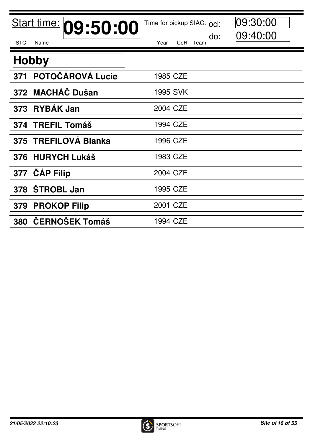| Start time: 09:50:00         | Time for pickup SIAC: od:<br>do: | 09:30:00<br> 09:40:00 |
|------------------------------|----------------------------------|-----------------------|
| <b>STC</b><br>Name           | CoR Team<br>Year                 |                       |
| <b>Hobby</b>                 |                                  |                       |
| POTOČÁROVÁ Lucie<br>371      | 1985 CZE                         |                       |
| 372 MACHÁC Dušan             | <b>1995 SVK</b>                  |                       |
| 373 RYBAK Jan                | 2004 CZE                         |                       |
| <b>TREFIL Tomáš</b><br>374   | 1994 CZE                         |                       |
| 375 TREFILOVÁ Blanka         | 1996 CZE                         |                       |
| <b>HURYCH Lukáš</b><br>376   | 1983 CZE                         |                       |
| 377 ČÁP Filip                | 2004 CZE                         |                       |
| <b>STROBL Jan</b><br>378     | 1995 CZE                         |                       |
| <b>PROKOP Filip</b><br>379   | 2001 CZE                         |                       |
| <b>ČERNOŠEK Tomáš</b><br>380 | 1994 CZE                         |                       |

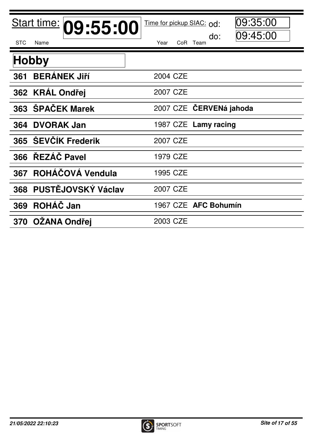| Start time: 09:55:00              | 09:35:00<br>Time for pickup SIAC: od:<br>09:45:00<br>do: |
|-----------------------------------|----------------------------------------------------------|
| <b>STC</b><br>Name                | Year<br>CoR Team                                         |
| <b>Hobby</b>                      |                                                          |
| <b>BERÁNEK Jiří</b><br>361        | 2004 CZE                                                 |
| 362 KRÁL Ondřej                   | 2007 CZE                                                 |
| <b>SPACEK Marek</b><br><b>363</b> | 2007 CZE CERVENá jahoda                                  |
| <b>DVORAK Jan</b><br>364          | 1987 CZE Lamy racing                                     |
| 365 ŠEVČÍK Frederik               | 2007 CZE                                                 |
| ŘEZÁČ Pavel<br>366                | 1979 CZE                                                 |
| ROHÁČOVÁ Vendula<br>367           | 1995 CZE                                                 |
| PUSTĚJOVSKÝ Václav<br>368         | 2007 CZE                                                 |
| ROHÁČ Jan<br>369                  | 1967 CZE AFC Bohumín                                     |
| 370 OZANA Ondřej                  | 2003 CZE                                                 |

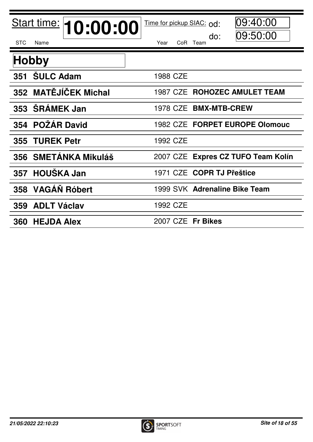| Start time: <b>10:00:00</b> | 09:40:00<br>Time for pickup SIAC: od: |
|-----------------------------|---------------------------------------|
| <b>STC</b><br>Name          | 09:50:00<br>do:<br>Year<br>CoR Team   |
| <b>Hobby</b>                |                                       |
| <b>SULC Adam</b><br>351     | 1988 CZE                              |
| 352 MATĚJÍČEK Michal        | 1987 CZE ROHOZEC AMULET TEAM          |
| 353 SRAMEK Jan              | <b>BMX-MTB-CREW</b><br>1978 CZE       |
| <b>POŽÁR David</b><br>354   | 1982 CZE FORPET EUROPE Olomouc        |
| 355 TUREK Petr              | 1992 CZE                              |
| 356 SMETÁNKA Mikuláš        | 2007 CZE Expres CZ TUFO Team Kolín    |
| <b>HOUŠKA Jan</b><br>357    | 1971 CZE COPR TJ Přeštice             |
| 358 VAGÁN Róbert            | 1999 SVK Adrenaline Bike Team         |
| 359 ADLT Václav             | 1992 CZE                              |
| 360 HEJDA Alex              | 2007 CZE Fr Bikes                     |

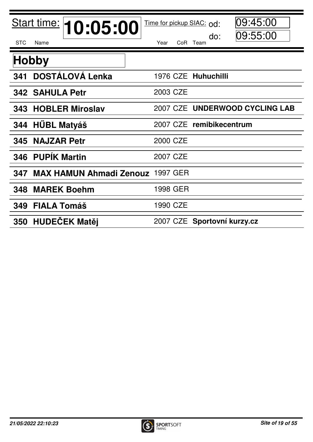| Start time: 10:05:00<br><b>STC</b><br>Name | 09:45:00<br>Time for pickup SIAC: od:<br> 09:55:00<br>do:<br>CoR<br>Year<br>Team |
|--------------------------------------------|----------------------------------------------------------------------------------|
| <b>Hobby</b>                               |                                                                                  |
| <b>DOSTÁLOVÁ Lenka</b><br>341              | 1976 CZE Huhuchilli                                                              |
| <b>342 SAHULA Petr</b>                     | 2003 CZE                                                                         |
| <b>HOBLER Miroslav</b><br>343              | 2007 CZE UNDERWOOD CYCLING LAB                                                   |
| <b>HÜBL Matyáš</b><br>344                  | 2007 CZE remibikecentrum                                                         |
| <b>NAJZAR Petr</b><br>345                  | 2000 CZE                                                                         |
| <b>PUPÍK Martin</b><br>346                 | 2007 CZE                                                                         |
| <b>MAX HAMUN Ahmadi Zenouz</b><br>347      | 1997 GER                                                                         |
| <b>MAREK Boehm</b><br>348                  | 1998 GER                                                                         |
| <b>FIALA Tomáš</b><br>349                  | 1990 CZE                                                                         |
| <b>HUDEČEK Matěj</b><br>350                | 2007 CZE Sportovní kurzy.cz                                                      |

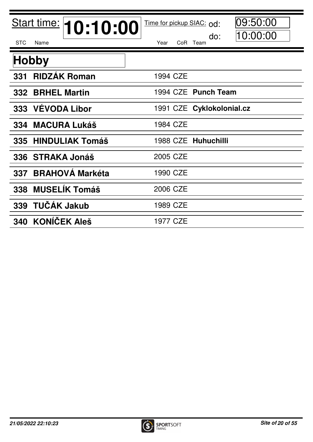| Start time: 10:10:00          | 09:50:00<br>Time for pickup SIAC: od: |
|-------------------------------|---------------------------------------|
| <b>STC</b><br>Name            | 10:00:00<br>do:<br>Year<br>CoR Team   |
| <b>Hobby</b>                  |                                       |
| <b>RIDZÁK Roman</b><br>331    | 1994 CZE                              |
| <b>BRHEL Martin</b><br>332    | 1994 CZE Punch Team                   |
| 333 VÉVODA Libor              | 1991 CZE Cyklokolonial.cz             |
| <b>MACURA Lukáš</b><br>334    | 1984 CZE                              |
| 335 HINDULIAK Tomáš           | 1988 CZE Huhuchilli                   |
| <b>STRAKA Jonáš</b><br>336    | 2005 CZE                              |
| <b>BRAHOVÁ Markéta</b><br>337 | 1990 CZE                              |
| <b>MUSELIK Tomáš</b><br>338   | 2006 CZE                              |
| <b>TUČÁK Jakub</b><br>339     | 1989 CZE                              |
| 340 KONÍČEK Aleš              | 1977 CZE                              |

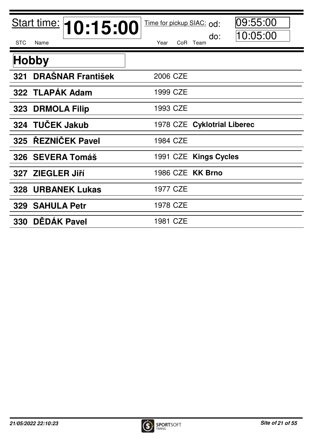| Start time: 10:15:00             | 09:55:00<br>Time for pickup SIAC: od: |
|----------------------------------|---------------------------------------|
| <b>STC</b><br>Name               | 10:05:00<br>do:<br>CoR Team<br>Year   |
| <b>Hobby</b>                     |                                       |
| <b>DRAŠNAR František</b><br>321  | 2006 CZE                              |
| 322 TLAPAK Adam                  | 1999 CZE                              |
| <b>DRMOLA Filip</b><br>323       | 1993 CZE                              |
| <b>TUČEK Jakub</b><br>324        | 1978 CZE Cyklotrial Liberec           |
| 325 ŘEZNÍČEK Pavel               | 1984 CZE                              |
| 326 SEVERA Tomáš                 | 1991 CZE Kings Cycles                 |
| 327 ZIEGLER Jiří                 | 1986 CZE KK Brno                      |
| <b>328 URBANEK Lukas</b>         | 1977 CZE                              |
| <b>329 SAHULA Petr</b>           | 1978 CZE                              |
| <b>DEDAK Pavel</b><br><b>330</b> | 1981 CZE                              |

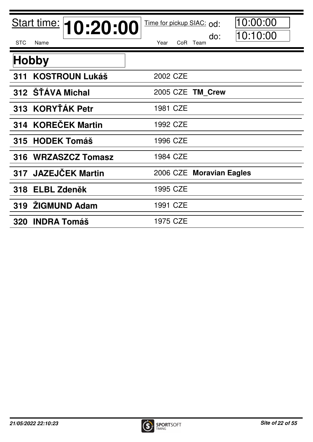| Start time: 10:20:00          | 10:00:00<br>Time for pickup SIAC: od: |
|-------------------------------|---------------------------------------|
| <b>STC</b><br>Name            | 10:10:00<br>do:<br>Year<br>CoR Team   |
| <b>Hobby</b>                  |                                       |
| <b>KOSTROUN Lukáš</b><br>311  | 2002 CZE                              |
| 312 ŠŤÁVA Michal              | 2005 CZE TM Crew                      |
| 313 KORYTÁK Petr              | 1981 CZE                              |
| 314 KOREČEK Martin            | 1992 CZE                              |
| <b>HODEK Tomáš</b><br>315     | 1996 CZE                              |
| <b>WRZASZCZ Tomasz</b><br>316 | 1984 CZE                              |
| <b>JAZEJČEK Martin</b><br>317 | 2006 CZE Moravian Eagles              |
| <b>ELBL Zdeněk</b><br>318     | 1995 CZE                              |
| <b>ŽIGMUND Adam</b><br>319    | 1991 CZE                              |
| 320 INDRA Tomáš               | 1975 CZE                              |

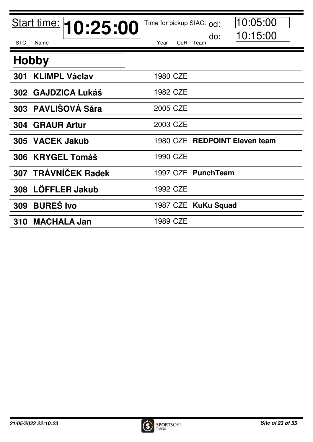| Start time: <b>10:25:00</b>   | 10:05:00<br>Time for pickup SIAC: od: |
|-------------------------------|---------------------------------------|
| <b>STC</b><br>Name            | 10:15:00<br>do:<br>Year<br>CoR Team   |
| <b>Hobby</b>                  |                                       |
| <b>KLIMPL Václav</b><br>301   | 1980 CZE                              |
| 302 GAJDZICA Lukáš            | 1982 CZE                              |
| 303 PAVLISOVÁ Sára            | 2005 CZE                              |
| <b>GRAUR Artur</b><br>304     | 2003 CZE                              |
| <b>VACEK Jakub</b><br>305     | 1980 CZE REDPOINT Eleven team         |
| <b>KRYGEL Tomáš</b><br>306    | 1990 CZE                              |
| <b>TRÁVNÍČEK Radek</b><br>307 | 1997 CZE PunchTeam                    |
| <b>LÖFFLER Jakub</b><br>308   | 1992 CZE                              |
| <b>BUREŠ</b> Ivo<br>309       | 1987 CZE KuKu Squad                   |
| 310 MACHALA Jan               | 1989 CZE                              |

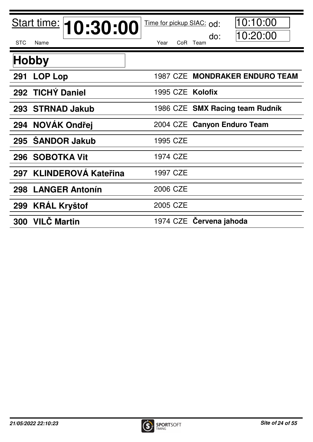| Start time: 10:30:00       | 10:10:00<br>Time for pickup SIAC: od: |
|----------------------------|---------------------------------------|
| <b>STC</b><br>Name         | 10:20:00<br>do:<br>Year<br>CoR Team   |
| <b>Hobby</b>               |                                       |
| <b>LOP Lop</b><br>291      | 1987 CZE MONDRAKER ENDURO TEAM        |
| 292 TICHY Daniel           | 1995 CZE Kolofix                      |
| <b>STRNAD Jakub</b><br>293 | 1986 CZE SMX Racing team Rudník       |
| <b>NOVAK Ondřej</b><br>294 | 2004 CZE Canyon Enduro Team           |
| 295 ŠANDOR Jakub           | 1995 CZE                              |
| 296 SOBOTKA Vit            | 1974 CZE                              |
| 297 KLINDEROVÁ Kateřina    | 1997 CZE                              |
| 298 LANGER Antonín         | 2006 CZE                              |
| <b>KRÁL Kryštof</b><br>299 | 2005 CZE                              |
| 300 VILC Martin            | 1974 CZE Červena jahoda               |

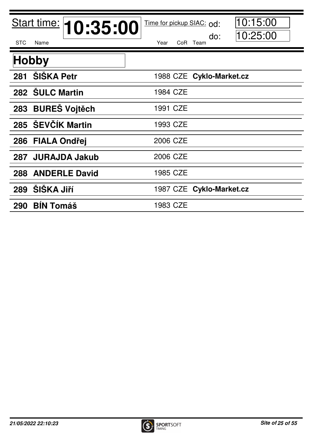| Start time: <b>10:35:00</b> | 10:15:00<br>Time for pickup SIAC: od: |
|-----------------------------|---------------------------------------|
| <b>STC</b><br>Name          | 10:25:00<br>do:<br>CoR Team<br>Year   |
| <b>Hobby</b>                |                                       |
| <b>ŠIŠKA Petr</b><br>281    | 1988 CZE Cyklo-Market.cz              |
| 282 SULC Martin             | 1984 CZE                              |
| 283 BUREŠ Vojtěch           | 1991 CZE                              |
| 285 ŠEVČÍK Martin           | 1993 CZE                              |
| 286 FIALA Ondřej            | 2006 CZE                              |
| <b>JURAJDA Jakub</b><br>287 | 2006 CZE                              |
| 288 ANDERLE David           | 1985 CZE                              |
| ŠIŠKA Jiří<br>289           | 1987 CZE Cyklo-Market.cz              |
| <b>BIN Tomáš</b><br>290     | 1983 CZE                              |

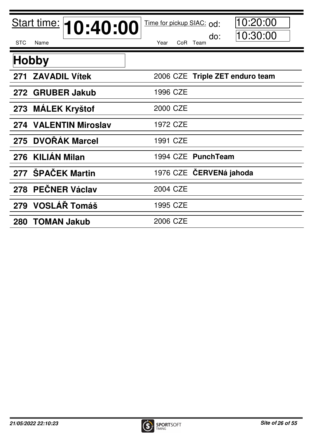| Start time: <b>10:40:00</b>     | 10:20:00<br>Time for pickup SIAC: od:<br>10:30:00 |
|---------------------------------|---------------------------------------------------|
| <b>STC</b><br>Name              | do:<br>Year<br>CoR Team                           |
| <b>Hobby</b>                    |                                                   |
| <b>ZAVADIL Vítek</b><br>271     | 2006 CZE Triple ZET enduro team                   |
| 272 GRUBER Jakub                | 1996 CZE                                          |
| 273 MALEK Kryštof               | 2000 CZE                                          |
| <b>VALENTIN Miroslav</b><br>274 | 1972 CZE                                          |
| 275 DVOŘÁK Marcel               | 1991 CZE                                          |
| <b>KILIÁN Milan</b><br>276      | 1994 CZE PunchTeam                                |
| 277 ŠPAČEK Martin               | 1976 CZE ČERVENá jahoda                           |
| 278 PEČNER Václav               | 2004 CZE                                          |
| 279 VOSLÁŘ Tomáš                | 1995 CZE                                          |
| <b>TOMAN Jakub</b><br>280       | 2006 CZE                                          |

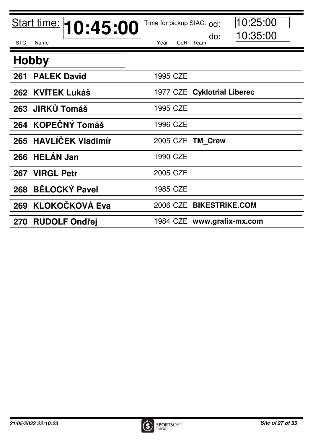|            |                    | Start time: <b>10:45:00</b> | Time for pickup SIAC: od: | do:                         | 10:25:00<br>10:35:00 |
|------------|--------------------|-----------------------------|---------------------------|-----------------------------|----------------------|
| <b>STC</b> | Name               |                             | Year                      | CoR Team                    |                      |
|            | <b>Hobby</b>       |                             |                           |                             |                      |
| 261        | <b>PALEK David</b> |                             | 1995 CZE                  |                             |                      |
|            | 262 KVÍTEK Lukáš   |                             |                           | 1977 CZE Cyklotrial Liberec |                      |
|            | 263 JIRKŮ Tomáš    |                             | 1995 CZE                  |                             |                      |
|            |                    | 264 KOPEČNÝ Tomáš           | 1996 CZE                  |                             |                      |
|            |                    | 265 HAVLÍČEK Vladimír       |                           | 2005 CZE TM Crew            |                      |
|            | 266 HELÁN Jan      |                             | 1990 CZE                  |                             |                      |
| 267        | <b>VIRGL Petr</b>  |                             | 2005 CZE                  |                             |                      |
|            |                    | 268 BĚLOCKÝ Pavel           | 1985 CZE                  |                             |                      |
|            |                    | 269 KLOKOČKOVÁ Eva          |                           | 2006 CZE BIKESTRIKE.COM     |                      |
|            |                    | 270 RUDOLF Ondřej           |                           | 1984 CZE www.grafix-mx.com  |                      |

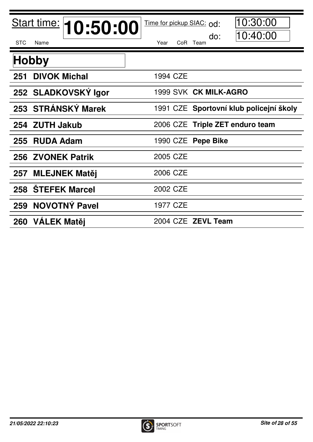| Start time: <b>10:50:00</b> | 10:30:00<br>Time for pickup SIAC: od:   |
|-----------------------------|-----------------------------------------|
| <b>STC</b><br>Name          | 10:40:00<br>do:<br>CoR Team<br>Year     |
| <b>Hobby</b>                |                                         |
| <b>DIVOK Michal</b><br>251  | 1994 CZE                                |
| 252 SLADKOVSKÝ Igor         | 1999 SVK CK MILK-AGRO                   |
| 253 STRÁNSKÝ Marek          | 1991 CZE Sportovní klub policejní školy |
| <b>ZUTH Jakub</b><br>254    | 2006 CZE Triple ZET enduro team         |
| <b>RUDA Adam</b><br>255     | 1990 CZE Pepe Bike                      |
| 256 ZVONEK Patrik           | 2005 CZE                                |
| <b>MLEJNEK Matěj</b><br>257 | 2006 CZE                                |
| <b>STEFEK Marcel</b><br>258 | 2002 CZE                                |
| <b>NOVOTNÝ Pavel</b><br>259 | 1977 CZE                                |
| 260 VALEK Matěj             | 2004 CZE ZEVL Team                      |

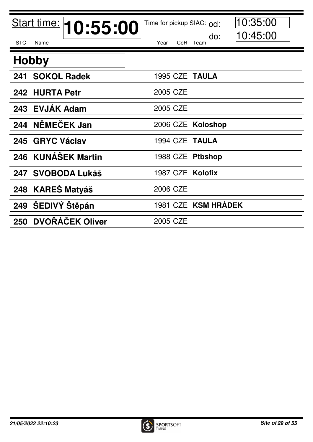| Start time: <b>10:55:00</b>   | 10:35:00<br>Time for pickup SIAC: od:  |
|-------------------------------|----------------------------------------|
| <b>STC</b><br>Name            | 10:45:00<br>do:<br>Year<br>CoR<br>Team |
| <b>Hobby</b>                  |                                        |
| <b>SOKOL Radek</b><br>241     | 1995 CZE TAULA                         |
| 242 HURTA Petr                | 2005 CZE                               |
| 243 EVJAK Adam                | 2005 CZE                               |
| NĚMEČEK Jan<br>244            | 2006 CZE Koloshop                      |
| <b>GRYC Václav</b><br>245     | 1994 CZE TAULA                         |
| 246 KUNÁŠEK Martin            | 1988 CZE Ptbshop                       |
| 247 SVOBODA Lukáš             | 1987 CZE Kolofix                       |
| 248 KAREŠ Matyáš              | 2006 CZE                               |
| <b>SEDIVÝ Štěpán</b><br>249   | 1981 CZE KSM HRÁDEK                    |
| <b>DVOŘÁČEK Oliver</b><br>250 | 2005 CZE                               |

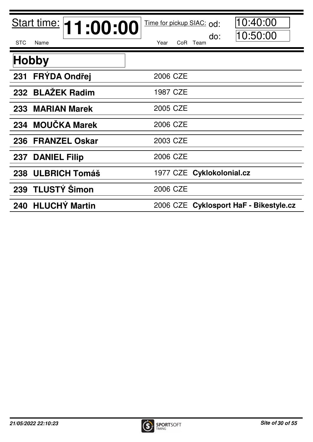| Start time: <b>11:00:00</b> | 10:40:00<br>Time for pickup SIAC: od:  |
|-----------------------------|----------------------------------------|
| <b>STC</b><br>Name          | 10:50:00<br>do:<br>CoR Team<br>Year    |
| Hobby                       |                                        |
| 231 FRÝDA Ondřej            | 2006 CZE                               |
| 232 BLAŽEK Radim            | 1987 CZE                               |
| 233 MARIAN Marek            | 2005 CZE                               |
| 234 MOUČKA Marek            | 2006 CZE                               |
| 236 FRANZEL Oskar           | 2003 CZE                               |
| <b>DANIEL Filip</b><br>237  | 2006 CZE                               |
| <b>ULBRICH Tomáš</b><br>238 | 1977 CZE Cyklokolonial.cz              |
| 239 TLUSTÝ Šimon            | 2006 CZE                               |
| 240 HLUCHÝ Martin           | 2006 CZE Cyklosport HaF - Bikestyle.cz |

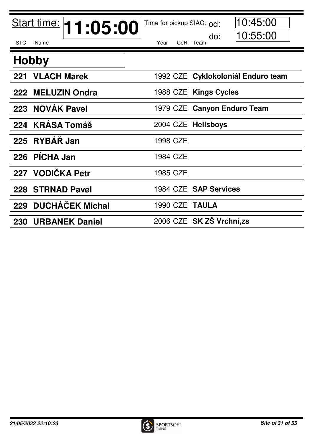| Start time: <b>11:05:00</b><br><b>STC</b><br>Name | 10:45:00<br>Time for pickup SIAC: od:<br>10:55:00<br>do:<br>CoR Team<br>Year |
|---------------------------------------------------|------------------------------------------------------------------------------|
| <b>Hobby</b>                                      |                                                                              |
| <b>VLACH Marek</b><br>221                         | 1992 CZE Cyklokoloniál Enduro team                                           |
| 222 MELUZIN Ondra                                 | 1988 CZE Kings Cycles                                                        |
| 223 NOVÁK Pavel                                   | 1979 CZE Canyon Enduro Team                                                  |
| 224 KRÁSA Tomáš                                   | 2004 CZE Hellsboys                                                           |
| 225 RYBÁŘ Jan                                     | 1998 CZE                                                                     |
| 226 PICHA Jan                                     | 1984 CZE                                                                     |
| 227 VODIČKA Petr                                  | 1985 CZE                                                                     |
| <b>STRNAD Pavel</b><br>228                        | 1984 CZE SAP Services                                                        |
| <b>DUCHÁČEK Michal</b><br>229                     | 1990 CZE TAULA                                                               |
| <b>URBANEK Daniel</b><br>230                      | 2006 CZE SK ZŠ Vrchní,zs                                                     |

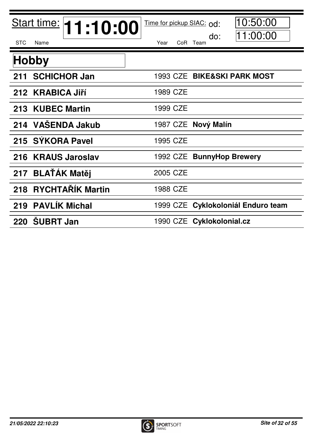| Start time: <b>11:10:00</b>  | $ 10:50:0\overline{0}$<br>Time for pickup SIAC: od: |
|------------------------------|-----------------------------------------------------|
| <b>STC</b><br>Name           | 11:00:00<br>do:<br>Year<br>CoR Team                 |
| <b>Hobby</b>                 |                                                     |
| <b>SCHICHOR Jan</b><br>211   | 1993 CZE BIKE&SKI PARK MOST                         |
| 212 KRABICA Jiří             | 1989 CZE                                            |
| 213<br><b>KUBEC Martin</b>   | 1999 CZE                                            |
| 214 VAŠENDA Jakub            | 1987 CZE Nový Malín                                 |
| 215 SÝKORA Pavel             | 1995 CZE                                            |
| <b>KRAUS Jaroslav</b><br>216 | 1992 CZE BunnyHop Brewery                           |
| 217 BLATÁK Matěj             | 2005 CZE                                            |
| 218 RYCHTAŘÍK Martin         | 1988 CZE                                            |
| 219 PAVLIK Michal            | 1999 CZE Cyklokoloniál Enduro team                  |
| 220 SUBRT Jan                | 1990 CZE Cyklokolonial.cz                           |

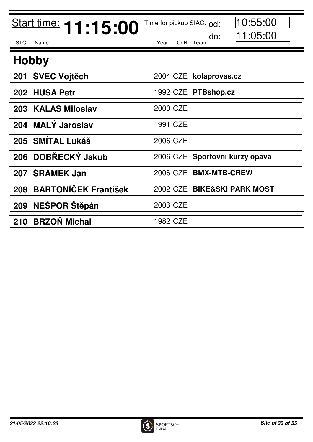| Start time: <b>11:15:00</b><br><b>STC</b><br>Name | 10:55:00<br>Time for pickup SIAC: od:<br>11:05:00<br>do:<br>Year<br>CoR<br>Team |
|---------------------------------------------------|---------------------------------------------------------------------------------|
| <b>Hobby</b>                                      |                                                                                 |
|                                                   |                                                                                 |
| <b>SVEC Vojtěch</b><br>201                        | 2004 CZE kolaprovas.cz                                                          |
| 202 HUSA Petr                                     | 1992 CZE PTBshop.cz                                                             |
| 203 KALAS Miloslav                                | 2000 CZE                                                                        |
| <b>MALÝ Jaroslav</b><br>204                       | 1991 CZE                                                                        |
| 205 SMÍTAL Lukáš                                  | 2006 CZE                                                                        |
| DOBŘECKÝ Jakub<br>206                             | 2006 CZE Sportovní kurzy opava                                                  |
| <b>ŠRÁMEK Jan</b><br>207                          | 2006 CZE BMX-MTB-CREW                                                           |
| 208 BARTONÍČEK František                          | 2002 CZE BIKE&SKI PARK MOST                                                     |
| <b>NESPOR Stěpán</b><br>209                       | 2003 CZE                                                                        |
| <b>BRZON</b> Michal<br>210                        | 1982 CZE                                                                        |

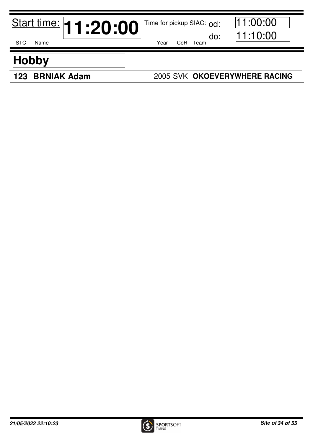| Start time: <b>11:20:00</b> | 11:00:00<br>Time for pickup SIAC: Od:<br>11:10:00<br>do: |
|-----------------------------|----------------------------------------------------------|
| <b>STC</b><br>Name          | CoR Team<br>Year                                         |
| <b>Hobby</b>                |                                                          |
| <b>BRNIAK Adam</b><br>123   | 2005 SVK OKOEVERYWHERE RACING                            |

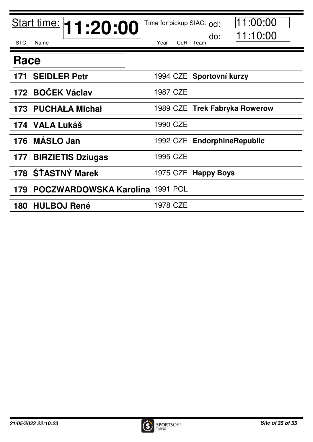| Start time: <b>11:20:00</b>            | 11:00:00<br>Time for pickup SIAC: od: |
|----------------------------------------|---------------------------------------|
| <b>STC</b><br>Name                     | 11:10:00<br>do:<br>Year<br>CoR Team   |
| Race                                   |                                       |
| <b>SEIDLER Petr</b><br>171             | 1994 CZE Sportovní kurzy              |
| 172 BOČEK Václav                       | 1987 CZE                              |
| 173 PUCHAŁA Michał                     | 1989 CZE Trek Fabryka Rowerow         |
| 174 VALA Lukáš                         | 1990 CZE                              |
| 176 MÁSLO Jan                          | 1992 CZE EndorphineRepublic           |
| <b>BIRZIETIS Dziugas</b><br>177        | 1995 CZE                              |
| 178 ŠŤASTNÝ Marek                      | 1975 CZE Happy Boys                   |
| POCZWARDOWSKA Karolina 1991 POL<br>179 |                                       |
| 180 HULBOJ René                        | 1978 CZE                              |

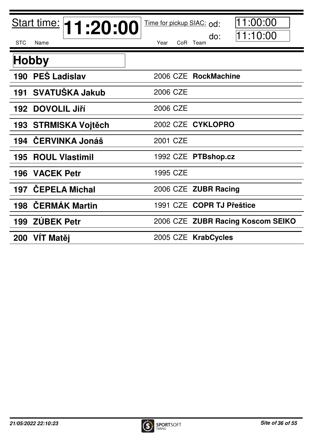| Start time: <b>11:20:00</b>  | 11:00:00<br>Time for pickup SIAC: od: |
|------------------------------|---------------------------------------|
| <b>STC</b><br>Name           | 11:10:00<br>do:<br>Year<br>CoR Team   |
| <b>Hobby</b>                 |                                       |
| <b>PEŠ Ladislav</b><br>190   | 2006 CZE RockMachine                  |
| 191 SVATUŠKA Jakub           | 2006 CZE                              |
| <b>DOVOLIL Jiří</b><br>192   | 2006 CZE                              |
| 193 STRMISKA Vojtěch         | 2002 CZE CYKLOPRO                     |
| 194 ČERVINKA Jonáš           | 2001 CZE                              |
| <b>ROUL Vlastimil</b><br>195 | 1992 CZE PTBshop.cz                   |
| <b>VACEK Petr</b><br>196     | 1995 CZE                              |
| <b>CEPELA Michal</b><br>197  | 2006 CZE ZUBR Racing                  |
| 198 ČERMÁK Martin            | 1991 CZE COPR TJ Přeštice             |
| <b>ZÚBEK Petr</b><br>199     | 2006 CZE ZUBR Racing Koscom SEIKO     |
| 200<br>VIT Matěj             | 2005 CZE KrabCycles                   |

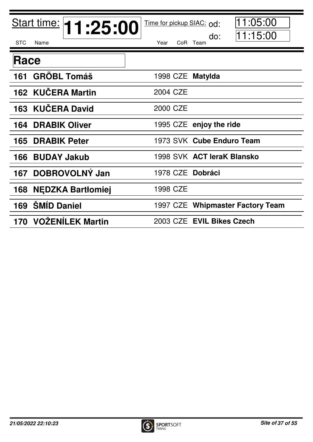| Start time: <b>11:25:00</b>     | 11:05:00<br>Time for pickup SIAC: od: |
|---------------------------------|---------------------------------------|
| <b>STC</b><br>Name              | 11:15:00<br>do:<br>Year<br>CoR Team   |
| Race                            |                                       |
| <b>GRÖBL Tomáš</b><br>161       | 1998 CZE<br><b>Matylda</b>            |
| 162 KUČERA Martin               | 2004 CZE                              |
| <b>KUČERA David</b><br>163      | 2000 CZE                              |
| <b>DRABIK Oliver</b><br>164     | 1995 CZE enjoy the ride               |
| <b>DRABIK Peter</b><br>165      | 1973 SVK Cube Enduro Team             |
| <b>BUDAY Jakub</b><br>166       | 1998 SVK ACT leraK Blansko            |
| <b>DOBROVOLNÝ Jan</b><br>167    | 1978 CZE Dobráci                      |
| <b>NEDZKA Bartłomiej</b><br>168 | 1998 CZE                              |
| <b>ŠMÍD Daniel</b><br>169       | 1997 CZE Whipmaster Factory Team      |
| 170 VOŽENÍLEK Martin            | 2003 CZE EVIL Bikes Czech             |

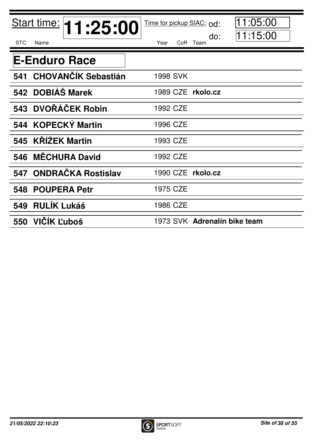| Start time: <b>11:25:00</b>       | 1:05:00<br>Time for pickup SIAC: od:<br>11:15:00<br>do: |
|-----------------------------------|---------------------------------------------------------|
| <b>STC</b><br>Name                | Year<br>CoR Team                                        |
| <b>E-Enduro Race</b>              |                                                         |
| <b>CHOVANČÍK Sebastián</b><br>541 | <b>1998 SVK</b>                                         |
| 542 DOBIÁS Marek                  | 1989 CZE rkolo.cz                                       |
| 543 DVOŘÁČEK Robin                | 1992 CZE                                                |
| <b>KOPECKÝ Martin</b><br>544      | 1996 CZE                                                |
| 545 KŘÍŽEK Martin                 | 1993 CZE                                                |
| <b>MĚCHURA David</b><br>546       | 1992 CZE                                                |
| <b>ONDRAČKA Rostislav</b><br>547  | 1990 CZE rkolo.cz                                       |
| 548 POUPERA Petr                  | 1975 CZE                                                |
| <b>RULÍK Lukáš</b><br>549         | 1986 CZE                                                |
| <b>VIČÍK Ľuboš</b><br>550         | 1973 SVK Adrenalín bike team                            |

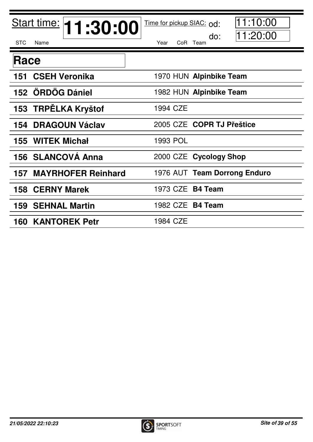| Start time: <b>11:30:00</b>   | 11:10:00<br>Time for pickup SIAC: od:<br>11:20:00<br>do: |
|-------------------------------|----------------------------------------------------------|
| <b>STC</b><br>Name            | Year<br>CoR Team                                         |
| Race                          |                                                          |
| <b>CSEH Veronika</b><br>151   | 1970 HUN Alpinbike Team                                  |
| 152 ÖRDÖG Dániel              | 1982 HUN Alpinbike Team                                  |
| 153 TRPELKA Kryštof           | 1994 CZE                                                 |
| <b>DRAGOUN Václav</b><br>154  | 2005 CZE COPR TJ Přeštice                                |
| <b>WITEK Michał</b><br>155    | 1993 POL                                                 |
| 156 SLANCOVÁ Anna             | 2000 CZE Cycology Shop                                   |
| <b>157 MAYRHOFER Reinhard</b> | 1976 AUT Team Dorrong Enduro                             |
| <b>CERNY Marek</b><br>158     | 1973 CZE <b>B4 Team</b>                                  |
| <b>SEHNAL Martin</b><br>159   | 1982 CZE B4 Team                                         |
| <b>160 KANTOREK Petr</b>      | 1984 CZE                                                 |

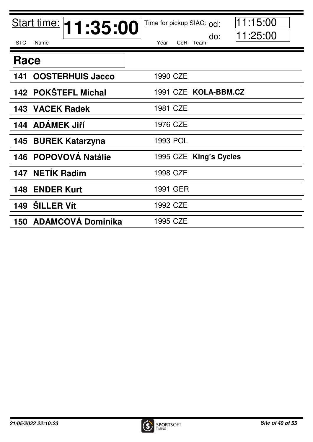| Start time: <b>11:35:00</b>    | 11:15:00<br>Time for pickup SIAC: od:<br>11:25:00 |
|--------------------------------|---------------------------------------------------|
| <b>STC</b><br>Name             | do:<br>Year<br>CoR Team                           |
| Race                           |                                                   |
| <b>OOSTERHUIS Jacco</b><br>141 | 1990 CZE                                          |
| 142 POKŠTEFL Michal            | 1991 CZE KOLA-BBM.CZ                              |
| <b>143 VACEK Radek</b>         | 1981 CZE                                          |
| 144 ADÁMEK Jiří                | 1976 CZE                                          |
| 145<br><b>BUREK Katarzyna</b>  | 1993 POL                                          |
| 146 POPOVOVÁ Natálie           | 1995 CZE King's Cycles                            |
| 147 NETIK Radim                | 1998 CZE                                          |
| <b>ENDER Kurt</b><br>148       | 1991 GER                                          |
| <b>SILLER Vít</b><br>149       | 1992 CZE                                          |
| 150 ADAMCOVÁ Dominika          | 1995 CZE                                          |

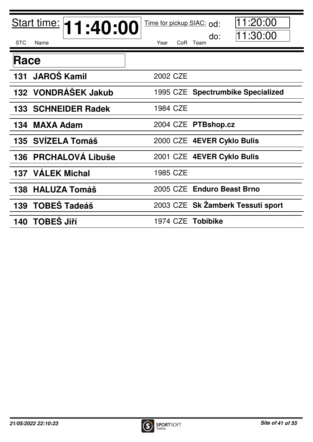| Start time: <b>11:40:00</b> | 1:20:00<br>Time for pickup SIAC: od:<br>11:30:00<br>do: |
|-----------------------------|---------------------------------------------------------|
| <b>STC</b><br>Name          | Year<br>CoR Team                                        |
| Race                        |                                                         |
| <b>JAROŠ Kamil</b><br>131   | 2002 CZE                                                |
| 132 VONDRÁŠEK Jakub         | 1995 CZE Spectrumbike Specialized                       |
| <b>133 SCHNEIDER Radek</b>  | 1984 CZE                                                |
| <b>MAXA Adam</b><br>134     | 2004 CZE PTBshop.cz                                     |
| 135 SVÍZELA Tomáš           | 2000 CZE 4EVER Cyklo Bulis                              |
| 136 PRCHALOVÁ Libuše        | 2001 CZE 4EVER Cyklo Bulis                              |
| 137 VÁLEK Michal            | 1985 CZE                                                |
| <b>HALUZA Tomáš</b><br>138  | 2005 CZE Enduro Beast Brno                              |
| <b>TOBEŠ Tadeáš</b><br>139  | 2003 CZE Sk Żamberk Tessuti sport                       |
| 140 TOBEŠ Jiří              | 1974 CZE Tobibike                                       |

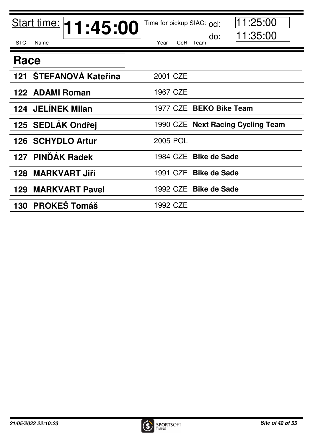| Start time: <b>11:45:00</b>  | 11:25:00<br>Time for pickup SIAC: od: |
|------------------------------|---------------------------------------|
| <b>STC</b><br>Name           | 11:35:00<br>do:<br>Year<br>CoR Team   |
| Race                         |                                       |
| 121 ŠTEFANOVÁ Kateřina       | 2001 CZE                              |
| <b>122 ADAMI Roman</b>       | 1967 CZE                              |
| 124 JELÍNEK Milan            | 1977 CZE BEKO Bike Team               |
| 125 SEDLAK Ondřei            | 1990 CZE Next Racing Cycling Team     |
| <b>126 SCHYDLO Artur</b>     | 2005 POL                              |
| <b>PINDAK Radek</b><br>127   | 1984 CZE Bike de Sade                 |
| <b>MARKVART JIří</b><br>128  | 1991 CZE Bike de Sade                 |
| <b>MARKVART Pavel</b><br>129 | 1992 CZE Bike de Sade                 |
| 130 PROKEŠ Tomáš             | 1992 CZE                              |

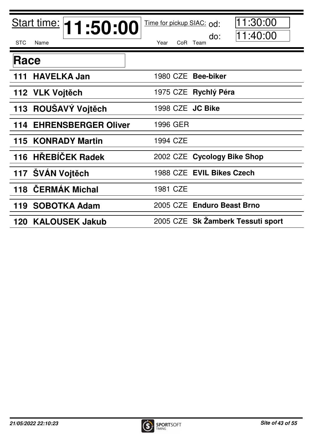| Start time: <b>11:50:00</b>       | 1:30:00<br>Time for pickup SIAC: od:<br>11:40:00<br>do: |
|-----------------------------------|---------------------------------------------------------|
| <b>STC</b><br>Name                | Year<br>CoR Team                                        |
| Race                              |                                                         |
| <b>HAVELKA Jan</b><br>111         | 1980 CZE Bee-biker                                      |
| 112 VLK Vojtěch                   | 1975 CZE Rychlý Péra                                    |
| 113 ROUŠAVÝ Vojtěch               | 1998 CZE JC Bike                                        |
| <b>EHRENSBERGER Oliver</b><br>114 | 1996 GER                                                |
| <b>KONRADY Martin</b><br>115      | 1994 CZE                                                |
| 116 HŘEBÍČEK Radek                | 2002 CZE Cycology Bike Shop                             |
| 117 ŠVÁN Vojtěch                  | 1988 CZE EVIL Bikes Czech                               |
| <b>ČERMÁK Michal</b><br>118       | 1981 CZE                                                |
| <b>SOBOTKA Adam</b><br>119        | 2005 CZE Enduro Beast Brno                              |
| <b>KALOUSEK Jakub</b><br>120.     | 2005 CZE Sk Zamberk Tessuti sport                       |

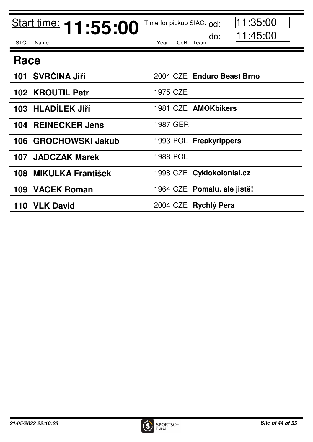| Start time: <b>11:55:00</b> | 1:35:00<br>Time for pickup SIAC: od: |
|-----------------------------|--------------------------------------|
| <b>STC</b><br>Name          | 11:45:00<br>do:<br>Year<br>CoR Team  |
| Race                        |                                      |
| <b>ŠVRČINA Jiří</b><br>101  | 2004 CZE Enduro Beast Brno           |
| <b>102 KROUTIL Petr</b>     | 1975 CZE                             |
| 103 HLADILEK Jiří           | 1981 CZE AMOKbikers                  |
| <b>104 REINECKER Jens</b>   | 1987 GER                             |
| 106 GROCHOWSKI Jakub        | 1993 POL Freakyrippers               |
| <b>JADCZAK Marek</b><br>107 | <b>1988 POL</b>                      |
| 108 MIKULKA František       | 1998 CZE Cyklokolonial.cz            |
| 109 VACEK Roman             | 1964 CZE Pomalu. ale jistě!          |
| 110 VLK David               | 2004 CZE Rychlý Péra                 |

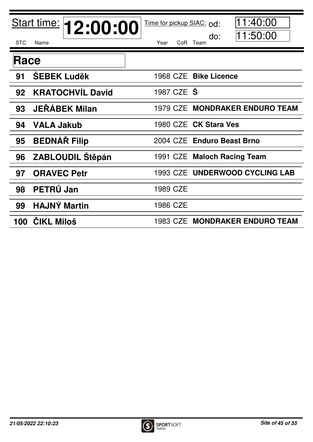|            | Start time: <b>12:00:00</b> | 1:40:00<br>Time for pickup SIAC: od: |
|------------|-----------------------------|--------------------------------------|
| <b>STC</b> | Name                        | 11:50:00<br>do:<br>Year<br>CoR Team  |
| Race       |                             |                                      |
| 91         | <b>ŠEBEK Luděk</b>          | 1968 CZE Bike Licence                |
| 92         | <b>KRATOCHVÍL David</b>     | 1987 CZE \$                          |
| 93         | <b>JERÁBEK Milan</b>        | 1979 CZE MONDRAKER ENDURO TEAM       |
| 94         | <b>VALA Jakub</b>           | 1980 CZE CK Stara Ves                |
| 95         | <b>BEDNÁŘ Filip</b>         | 2004 CZE Enduro Beast Brno           |
| 96         | ZABLOUDIL Štěpán            | 1991 CZE Maloch Racing Team          |
| 97         | <b>ORAVEC Petr</b>          | 1993 CZE UNDERWOOD CYCLING LAB       |
| 98         | PETRŮ Jan                   | 1989 CZE                             |
| 99         | <b>HAJNÝ Martin</b>         | 1986 CZE                             |
| 100        | <b>ČIKL Miloš</b>           | 1983 CZE MONDRAKER ENDURO TEAM       |

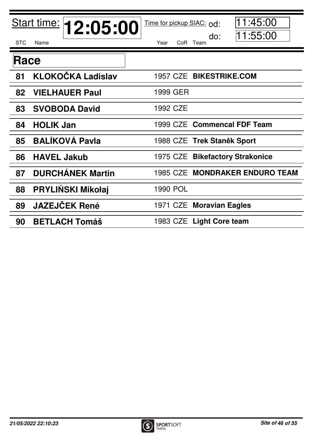| Start time: <b>12:05:00</b> |                          | 1:45:00<br>Time for pickup SIAC: od: |
|-----------------------------|--------------------------|--------------------------------------|
| <b>STC</b>                  | Name                     | 11:55:00<br>do:<br>Year<br>CoR Team  |
| Race                        |                          |                                      |
| 81                          | <b>KLOKOČKA Ladislav</b> | 1957 CZE BIKESTRIKE.COM              |
| 82                          | <b>VIELHAUER Paul</b>    | 1999 GER                             |
| 83                          | <b>SVOBODA David</b>     | 1992 CZE                             |
| 84                          | <b>HOLIK Jan</b>         | 1999 CZE Commencal FDF Team          |
| 85                          | <b>BALÍKOVÁ Pavla</b>    | 1988 CZE Trek Staněk Sport           |
| 86                          | <b>HAVEL Jakub</b>       | 1975 CZE Bikefactory Strakonice      |
| 87                          | <b>DURCHANEK Martin</b>  | 1985 CZE MONDRAKER ENDURO TEAM       |
| 88                          | <b>PRYLINSKI Mikołaj</b> | 1990 POL                             |
| 89                          | <b>JAZEJČEK René</b>     | 1971 CZE Moravian Eagles             |
| 90                          | <b>BETLACH Tomáš</b>     | 1983 CZE Light Core team             |

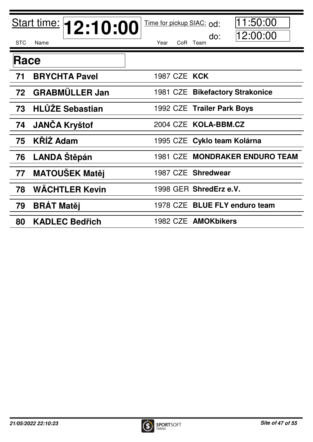| 11:50:00<br>Start time: <b>12:10:00</b><br>Time for pickup SIAC: od: |                        |              |                                 |                                |
|----------------------------------------------------------------------|------------------------|--------------|---------------------------------|--------------------------------|
| <b>STC</b>                                                           | Name                   | Year         | do:<br>CoR Team                 | 12:00:00                       |
| Race                                                                 |                        |              |                                 |                                |
| 71                                                                   | <b>BRYCHTA Pavel</b>   | 1987 CZE KCK |                                 |                                |
| 72                                                                   | <b>GRABMÜLLER Jan</b>  |              | 1981 CZE Bikefactory Strakonice |                                |
| 73                                                                   | <b>HLŮŽE Sebastian</b> |              | 1992 CZE Trailer Park Boys      |                                |
| 74                                                                   | <b>JANČA Kryštof</b>   |              | 2004 CZE KOLA-BBM.CZ            |                                |
| 75                                                                   | <b>KŘÍŽ Adam</b>       |              | 1995 CZE Cyklo team Kolárna     |                                |
| 76                                                                   | <b>LANDA Stěpán</b>    |              |                                 | 1981 CZE MONDRAKER ENDURO TEAM |
| 77                                                                   | <b>MATOUŠEK Matěj</b>  |              | 1987 CZE Shredwear              |                                |
| 78                                                                   | <b>WÄCHTLER Kevin</b>  |              | 1998 GER ShredErz e.V.          |                                |
| 79                                                                   | <b>BRAT Matěj</b>      |              | 1978 CZE BLUE FLY enduro team   |                                |
| 80                                                                   | <b>KADLEC Bedřich</b>  |              | 1982 CZE AMOKbikers             |                                |

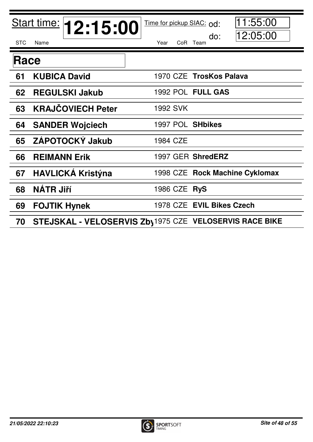|            | Start time: <b>12:15:00</b> | 11:55:00<br>Time for pickup SIAC: od:<br>12:05:00<br>do:      |
|------------|-----------------------------|---------------------------------------------------------------|
| <b>STC</b> | Name                        | Year<br>CoR Team                                              |
| Race       |                             |                                                               |
| 61         | <b>KUBICA David</b>         | 1970 CZE TrosKos Palava                                       |
| 62         | <b>REGULSKI Jakub</b>       | 1992 POL FULL GAS                                             |
| 63         | <b>KRAJČOVIECH Peter</b>    | <b>1992 SVK</b>                                               |
| 64         | <b>SANDER Wojciech</b>      | 1997 POL SHbikes                                              |
| 65         | ZÁPOTOCKÝ Jakub             | 1984 CZE                                                      |
| 66         | <b>REIMANN Erik</b>         | 1997 GER ShredERZ                                             |
| 67         | <b>HAVLICKÁ Kristýna</b>    | 1998 CZE Rock Machine Cyklomax                                |
| 68         | <b>NÁTR JIří</b>            | 1986 CZE RyS                                                  |
| 69         | <b>FOJTIK Hynek</b>         | 1978 CZE EVIL Bikes Czech                                     |
| 70         |                             | <b>STEJSKAL - VELOSERVIS Zby1975 CZE VELOSERVIS RACE BIKE</b> |

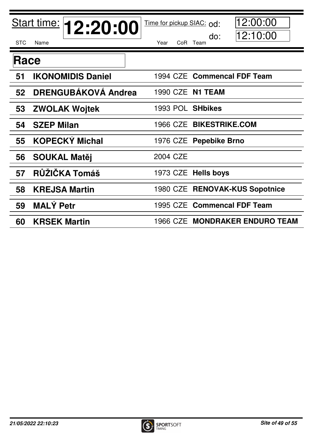| 12:00:00<br>Start time: <b>12:20:00</b><br>Time for pickup SIAC: od: |                            |                                     |  |
|----------------------------------------------------------------------|----------------------------|-------------------------------------|--|
| <b>STC</b>                                                           | Name                       | 12:10:00<br>do:<br>Year<br>CoR Team |  |
| <b>Race</b>                                                          |                            |                                     |  |
| 51                                                                   | <b>IKONOMIDIS Daniel</b>   | 1994 CZE Commencal FDF Team         |  |
| 52                                                                   | <b>DRENGUBAKOVA Andrea</b> | 1990 CZE N1 TEAM                    |  |
| 53                                                                   | <b>ZWOLAK Wojtek</b>       | 1993 POL<br><b>SHbikes</b>          |  |
| 54                                                                   | <b>SZEP Milan</b>          | 1966 CZE BIKESTRIKE.COM             |  |
| 55                                                                   | <b>KOPECKÝ Michal</b>      | 1976 CZE Pepebike Brno              |  |
| 56                                                                   | <b>SOUKAL Matěj</b>        | 2004 CZE                            |  |
| 57                                                                   | RŮŽIČKA Tomáš              | 1973 CZE Hells boys                 |  |
| 58                                                                   | <b>KREJSA Martin</b>       | 1980 CZE RENOVAK-KUS Sopotnice      |  |
| 59                                                                   | <b>MALÝ Petr</b>           | 1995 CZE Commencal FDF Team         |  |
| 60                                                                   | <b>KRSEK Martin</b>        | 1966 CZE MONDRAKER ENDURO TEAM      |  |

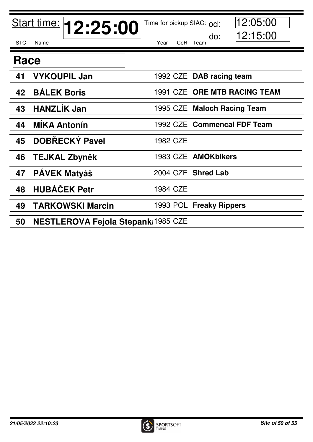|            | Start time: <b>12:25:00</b>                | 12:05:00<br>Time for pickup SIAC: od:<br>12:15:00<br>do: |  |
|------------|--------------------------------------------|----------------------------------------------------------|--|
| <b>STC</b> | Name                                       | CoR Team<br>Year                                         |  |
| Race       |                                            |                                                          |  |
| 41         | <b>VYKOUPIL Jan</b>                        | 1992 CZE DAB racing team                                 |  |
| 42         | <b>BALEK Boris</b>                         | 1991 CZE ORE MTB RACING TEAM                             |  |
| 43         | <b>HANZLIK Jan</b>                         | 1995 CZE Maloch Racing Team                              |  |
| 44         | <b>MÍKA Antonín</b>                        | 1992 CZE Commencal FDF Team                              |  |
| 45         | <b>DOBŘECKÝ Pavel</b>                      | 1982 CZE                                                 |  |
| 46         | <b>TEJKAL Zbyněk</b>                       | 1983 CZE AMOKbikers                                      |  |
| 47         | <b>PAVEK Matyáš</b>                        | 2004 CZE Shred Lab                                       |  |
| 48         | <b>HUBÁČEK Petr</b>                        | 1984 CZE                                                 |  |
| 49         | <b>TARKOWSKI Marcin</b>                    | 1993 POL Freaky Rippers                                  |  |
| 50         | <b>NESTLEROVA Fejola Stepank: 1985 CZE</b> |                                                          |  |

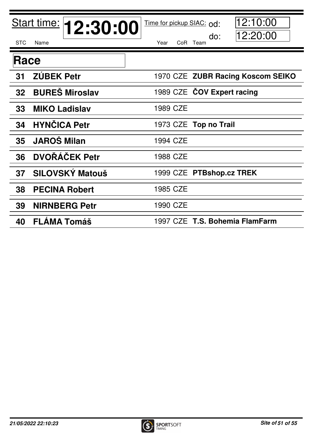| 12:10:00<br>Start time: <b>12:30:00</b><br>Time for pickup SIAC: od: |                        |                                     |  |  |
|----------------------------------------------------------------------|------------------------|-------------------------------------|--|--|
| <b>STC</b><br>Name                                                   |                        | 12:20:00<br>do:<br>CoR Team<br>Year |  |  |
| Race                                                                 |                        |                                     |  |  |
| 31                                                                   | <b>ZÚBEK Petr</b>      | 1970 CZE ZUBR Racing Koscom SEIKO   |  |  |
| 32 <sub>2</sub>                                                      | <b>BURES Miroslav</b>  | 1989 CZE COV Expert racing          |  |  |
| 33                                                                   | <b>MIKO Ladislav</b>   | 1989 CZE                            |  |  |
| 34                                                                   | <b>HYNČICA Petr</b>    | 1973 CZE Top no Trail               |  |  |
| 35                                                                   | <b>JAROŠ Milan</b>     | 1994 CZE                            |  |  |
| 36                                                                   | <b>DVOŘÁČEK Petr</b>   | 1988 CZE                            |  |  |
| 37                                                                   | <b>SILOVSKÝ Matouš</b> | 1999 CZE PTBshop.cz TREK            |  |  |
| 38                                                                   | <b>PECINA Robert</b>   | 1985 CZE                            |  |  |
| 39                                                                   | <b>NIRNBERG Petr</b>   | 1990 CZE                            |  |  |
| 40                                                                   | <b>FLÁMA Tomáš</b>     | 1997 CZE T.S. Bohemia FlamFarm      |  |  |

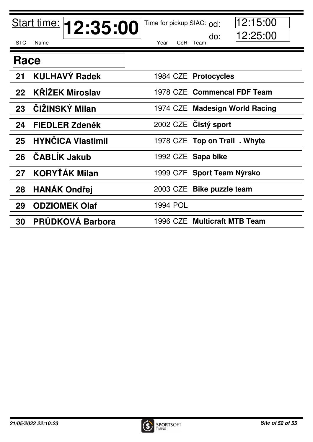|            | Start time: <b>12:35:00</b> | 12:15:00<br>Time for pickup SIAC: od: |
|------------|-----------------------------|---------------------------------------|
| <b>STC</b> | Name                        | 12:25:00<br>do:<br>Year<br>CoR Team   |
| Race       |                             |                                       |
| 21         | <b>KULHAVÝ Radek</b>        | 1984 CZE Protocycles                  |
| $22 \,$    | <b>KRÍŽEK Miroslav</b>      | 1978 CZE Commencal FDF Team           |
| 23         | ČIŽINSKÝ Milan              | 1974 CZE Madesign World Racing        |
| 24         | FIEDLER Zdeněk              | 2002 CZE Cistý sport                  |
| 25         | <b>HYNČICA Vlastimil</b>    | 1978 CZE Top on Trail. Whyte          |
| 26         | <b>ČABLÍK Jakub</b>         | 1992 CZE Sapa bike                    |
| 27         | <b>KORYŤÁK Milan</b>        | 1999 CZE Sport Team Nýrsko            |
| 28         | <b>HANÁK Ondřej</b>         | 2003 CZE Bike puzzle team             |
| 29         | <b>ODZIOMEK Olaf</b>        | 1994 POL                              |
| 30         | PRŮDKOVÁ Barbora            | 1996 CZE Multicraft MTB Team          |

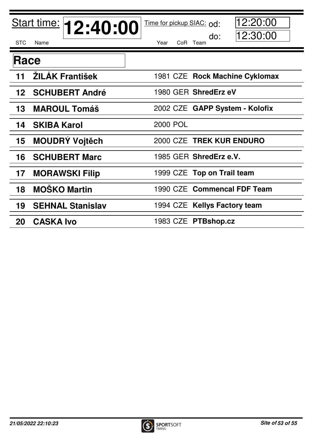| Start time: <b>12:40:00</b>   | 12:20:00<br>Time for pickup SIAC: od:<br>12:30:00 |  |  |
|-------------------------------|---------------------------------------------------|--|--|
| <b>STC</b><br>Name            | do:<br>Year<br>CoR Team                           |  |  |
| Race                          |                                                   |  |  |
| <b>ŽILÁK František</b><br>11  | 1981 CZE Rock Machine Cyklomax                    |  |  |
| <b>SCHUBERT André</b><br>12   | 1980 GER ShredErz eV                              |  |  |
| <b>MAROUL Tomáš</b><br>13     | 2002 CZE GAPP System - Kolofix                    |  |  |
| <b>SKIBA Karol</b><br>14      | <b>2000 POL</b>                                   |  |  |
| <b>MOUDRÝ Vojtěch</b><br>15   | 2000 CZE TREK KUR ENDURO                          |  |  |
| <b>SCHUBERT Marc</b><br>16    | 1985 GER ShredErz e.V.                            |  |  |
| 17<br><b>MORAWSKI Filip</b>   | 1999 CZE Top on Trail team                        |  |  |
| <b>MOŠKO Martin</b><br>18     | 1990 CZE Commencal FDF Team                       |  |  |
| 19<br><b>SEHNAL Stanislav</b> | 1994 CZE Kellys Factory team                      |  |  |
| 20<br><b>CASKA Ivo</b>        | 1983 CZE PTBshop.cz                               |  |  |

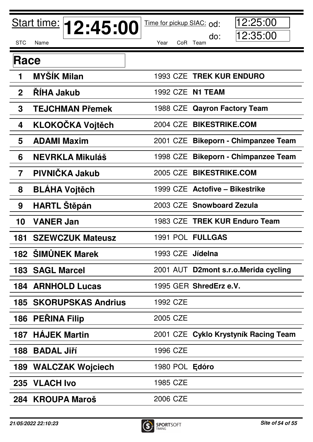| 12:25:00<br>Start time: <b>12:45:00</b><br>Time for pickup SIAC: od: |                        |                               |                  |                                       |
|----------------------------------------------------------------------|------------------------|-------------------------------|------------------|---------------------------------------|
| <b>STC</b>                                                           | Name                   |                               | Year             | 12:35:00<br>do:<br>CoR Team           |
| Race                                                                 |                        |                               |                  |                                       |
| 1                                                                    | <b>MYŠÍK Milan</b>     |                               |                  | 1993 CZE TREK KUR ENDURO              |
| $\mathbf{2}$                                                         | <b>ŘÍHA Jakub</b>      |                               | 1992 CZE N1 TEAM |                                       |
| 3                                                                    |                        | <b>TEJCHMAN Přemek</b>        |                  | 1988 CZE Qayron Factory Team          |
| 4                                                                    |                        | <b>KLOKOČKA Vojtěch</b>       |                  | 2004 CZE BIKESTRIKE.COM               |
| 5                                                                    | <b>ADAMI Maxim</b>     |                               |                  | 2001 CZE Bikeporn - Chimpanzee Team   |
| 6                                                                    |                        | <b>NEVRKLA Mikuláš</b>        |                  | 1998 CZE Bikeporn - Chimpanzee Team   |
| $\overline{\mathbf{7}}$                                              |                        | PIVNIČKA Jakub                |                  | 2005 CZE BIKESTRIKE.COM               |
| 8                                                                    |                        | <b>BLÁHA Vojtěch</b>          |                  | 1999 CZE Actofive - Bikestrike        |
| 9                                                                    |                        | <b>HARTL Stěpán</b>           |                  | 2003 CZE Snowboard Zezula             |
| 10                                                                   | <b>VANER Jan</b>       |                               |                  | 1983 CZE TREK KUR Enduro Team         |
| 181                                                                  |                        | <b>SZEWCZUK Mateusz</b>       |                  | 1991 POL FULLGAS                      |
|                                                                      |                        | <b>182 SIMÜNEK Marek</b>      | 1993 CZE Jídelna |                                       |
|                                                                      | <b>183 SAGL Marcel</b> |                               |                  | 2001 AUT D2mont s.r.o. Merida cycling |
|                                                                      |                        | <b>184 ARNHOLD Lucas</b>      |                  | 1995 GER ShredErz e.V.                |
|                                                                      |                        | <b>185 SKORUPSKAS Andrius</b> | 1992 CZE         |                                       |
|                                                                      | 186 PERINA Filip       |                               | 2005 CZE         |                                       |
| 187                                                                  | <b>HAJEK Martin</b>    |                               |                  | 2001 CZE Cyklo Krystyník Racing Team  |
| 188                                                                  | <b>BADAL Jiří</b>      |                               | 1996 CZE         |                                       |
| 189                                                                  |                        | <b>WALCZAK Wojciech</b>       | 1980 POL Edóro   |                                       |
| 235                                                                  | <b>VLACH Ivo</b>       |                               | 1985 CZE         |                                       |
|                                                                      |                        | 284 KROUPA Maroš              | 2006 CZE         |                                       |